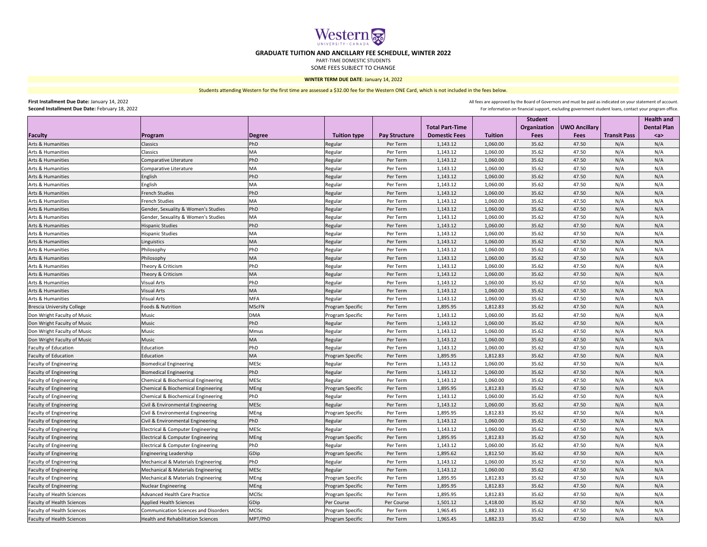|                                   |                                               |              |                         |                      | <b>Total Part-Time</b> |                | <b>Student</b> | <b>Organization   UWO Ancillary</b> |                     | <b>Health and</b><br><b>Dental Plan</b> |
|-----------------------------------|-----------------------------------------------|--------------|-------------------------|----------------------|------------------------|----------------|----------------|-------------------------------------|---------------------|-----------------------------------------|
| Faculty                           | <b>Program</b>                                | Degree       | <b>Tuition type</b>     | <b>Pay Structure</b> | <b>Domestic Fees</b>   | <b>Tuition</b> | <b>Fees</b>    | <b>Fees</b>                         | <b>Transit Pass</b> | $a$                                     |
| Arts & Humanities                 | Classics                                      | PhD          | Regular                 | Per Term             | 1,143.12               | 1,060.00       | 35.62          | 47.50                               | N/A                 | N/A                                     |
| <b>Arts &amp; Humanities</b>      | Classics                                      | МA           | Regular                 | Per Term             | 1,143.12               | 1,060.00       | 35.62          | 47.50                               | N/A                 | N/A                                     |
| Arts & Humanities                 | Comparative Literature                        | PhD          | Regular                 | Per Term             | 1,143.12               | 1,060.00       | 35.62          | 47.50                               | N/A                 | N/A                                     |
| Arts & Humanities                 | Comparative Literature                        | MA           | Regular                 | Per Term             | 1,143.12               | 1,060.00       | 35.62          | 47.50                               | N/A                 | N/A                                     |
| Arts & Humanities                 | English                                       | PhD          | Regular                 | Per Term             | 1,143.12               | 1,060.00       | 35.62          | 47.50                               | N/A                 | N/A                                     |
| Arts & Humanities                 | <b>English</b>                                | МA           | Regular                 | Per Term             | 1,143.12               | 1,060.00       | 35.62          | 47.50                               | N/A                 | N/A                                     |
| Arts & Humanities                 | <b>French Studies</b>                         | PhD          | Regular                 | Per Term             | 1,143.12               | 1,060.00       | 35.62          | 47.50                               | N/A                 | N/A                                     |
| Arts & Humanities                 | <b>French Studies</b>                         | <b>MA</b>    | Regular                 | Per Term             | 1,143.12               | 1,060.00       | 35.62          | 47.50                               | N/A                 | N/A                                     |
| Arts & Humanities                 | Gender, Sexuality & Women's Studies           | PhD          | Regular                 | Per Term             | 1,143.12               | 1,060.00       | 35.62          | 47.50                               | N/A                 | N/A                                     |
| Arts & Humanities                 | Gender, Sexuality & Women's Studies           | MA           | Regular                 | Per Term             | 1,143.12               | 1,060.00       | 35.62          | 47.50                               | N/A                 | N/A                                     |
| Arts & Humanities                 | <b>Hispanic Studies</b>                       | PhD          | Regular                 | Per Term             | 1,143.12               | 1,060.00       | 35.62          | 47.50                               | N/A                 | N/A                                     |
| Arts & Humanities                 | <b>Hispanic Studies</b>                       | МA           | Regular                 | Per Term             | 1,143.12               | 1,060.00       | 35.62          | 47.50                               | N/A                 | N/A                                     |
| Arts & Humanities                 | Linguistics                                   | <b>MA</b>    | Regular                 | Per Term             | 1,143.12               | 1,060.00       | 35.62          | 47.50                               | N/A                 | N/A                                     |
| Arts & Humanities                 | Philosophy                                    | PhD          | Regular                 | Per Term             | 1,143.12               | 1,060.00       | 35.62          | 47.50                               | N/A                 | N/A                                     |
| <b>Arts &amp; Humanities</b>      | Philosophy                                    | <b>MA</b>    | Regular                 | Per Term             | 1,143.12               | 1,060.00       | 35.62          | 47.50                               | N/A                 | N/A                                     |
| <b>Arts &amp; Humanities</b>      | Theory & Criticism                            | PhD          | Regular                 | Per Term             | 1,143.12               | 1,060.00       | 35.62          | 47.50                               | N/A                 | N/A                                     |
| <b>Arts &amp; Humanities</b>      | Theory & Criticism                            | <b>MA</b>    | Regular                 | Per Term             | 1,143.12               | 1,060.00       | 35.62          | 47.50                               | N/A                 | N/A                                     |
| Arts & Humanities                 | <b>Visual Arts</b>                            | PhD          | Regular                 | Per Term             | 1,143.12               | 1,060.00       | 35.62          | 47.50                               | N/A                 | N/A                                     |
| Arts & Humanities                 | <b>Visual Arts</b>                            | <b>MA</b>    | Regular                 | Per Term             | 1,143.12               | 1,060.00       | 35.62          | 47.50                               | N/A                 | N/A                                     |
| Arts & Humanities                 | <b>Visual Arts</b>                            | <b>MFA</b>   | Regular                 | Per Term             | 1,143.12               | 1,060.00       | 35.62          | 47.50                               | N/A                 | N/A                                     |
| Brescia University College        | Foods & Nutrition                             | <b>MScFN</b> | Program Specific        | Per Term             | 1,895.95               | 1,812.83       | 35.62          | 47.50                               | N/A                 | N/A                                     |
| Don Wright Faculty of Music       | Music                                         | <b>DMA</b>   | Program Specific        | Per Term             | 1,143.12               | 1,060.00       | 35.62          | 47.50                               | N/A                 | N/A                                     |
| Don Wright Faculty of Music       | Music                                         | PhD          | Regular                 | Per Term             | 1,143.12               | 1,060.00       | 35.62          | 47.50                               | N/A                 | N/A                                     |
| Don Wright Faculty of Music       | Music                                         | Mmus         | Regular                 | Per Term             | 1,143.12               | 1,060.00       | 35.62          | 47.50                               | N/A                 | N/A                                     |
| Don Wright Faculty of Music       | Music                                         | MA           | Regular                 | Per Term             | 1,143.12               | 1,060.00       | 35.62          | 47.50                               | N/A                 | N/A                                     |
| <b>Faculty of Education</b>       | Education                                     | <b>PhD</b>   | Regular                 | Per Term             | 1,143.12               | 1,060.00       | 35.62          | 47.50                               | N/A                 | N/A                                     |
| <b>Faculty of Education</b>       | Education                                     | MA           | Program Specific        | Per Term             | 1,895.95               | 1,812.83       | 35.62          | 47.50                               | N/A                 | N/A                                     |
| <b>Faculty of Engineering</b>     | <b>Biomedical Engineering</b>                 | <b>MESc</b>  | Regular                 | Per Term             | 1,143.12               | 1,060.00       | 35.62          | 47.50                               | N/A                 | N/A                                     |
| <b>Faculty of Engineering</b>     | <b>Biomedical Engineering</b>                 | PhD          | Regular                 | Per Term             | 1,143.12               | 1,060.00       | 35.62          | 47.50                               | N/A                 | N/A                                     |
| <b>Faculty of Engineering</b>     | Chemical & Biochemical Engineering            | MESc         | Regular                 | Per Term             | 1,143.12               | 1,060.00       | 35.62          | 47.50                               | N/A                 | N/A                                     |
| <b>Faculty of Engineering</b>     | Chemical & Biochemical Engineering            | MEng         | Program Specific        | Per Term             | 1,895.95               | 1,812.83       | 35.62          | 47.50                               | N/A                 | N/A                                     |
| <b>Faculty of Engineering</b>     | <b>Chemical &amp; Biochemical Engineering</b> | PhD          | Regular                 | Per Term             | 1,143.12               | 1,060.00       | 35.62          | 47.50                               | N/A                 | N/A                                     |
| <b>Faculty of Engineering</b>     | Civil & Environmental Engineering             | <b>MESC</b>  | Regular                 | Per Term             | 1,143.12               | 1,060.00       | 35.62          | 47.50                               | N/A                 | N/A                                     |
| <b>Faculty of Engineering</b>     | Civil & Environmental Engineering             | <b>MEng</b>  | Program Specific        | Per Term             | 1,895.95               | 1,812.83       | 35.62          | 47.50                               | N/A                 | N/A                                     |
| <b>Faculty of Engineering</b>     | Civil & Environmental Engineering             | PhD          | Regular                 | Per Term             | 1,143.12               | 1,060.00       | 35.62          | 47.50                               | N/A                 | N/A                                     |
| <b>Faculty of Engineering</b>     | <b>Electrical &amp; Computer Engineering</b>  | <b>MESc</b>  | Regular                 | Per Term             | 1,143.12               | 1,060.00       | 35.62          | 47.50                               | N/A                 | N/A                                     |
| <b>Faculty of Engineering</b>     | Electrical & Computer Engineering             | MEng         | Program Specific        | Per Term             | 1,895.95               | 1,812.83       | 35.62          | 47.50                               | N/A                 | N/A                                     |
| <b>Faculty of Engineering</b>     | <b>Electrical &amp; Computer Engineering</b>  | PhD          | Regular                 | Per Term             | 1,143.12               | 1,060.00       | 35.62          | 47.50                               | N/A                 | N/A                                     |
| <b>Faculty of Engineering</b>     | <b>Engineering Leadership</b>                 | GDip         | Program Specific        | Per Term             | 1,895.62               | 1,812.50       | 35.62          | 47.50                               | N/A                 | N/A                                     |
| <b>Faculty of Engineering</b>     | Mechanical & Materials Engineering            | PhD          | Regular                 | Per Term             | 1,143.12               | 1,060.00       | 35.62          | 47.50                               | N/A                 | N/A                                     |
| <b>Faculty of Engineering</b>     | Mechanical & Materials Engineering            | <b>MESC</b>  | Regular                 | Per Term             | 1,143.12               | 1,060.00       | 35.62          | 47.50                               | N/A                 | N/A                                     |
| <b>Faculty of Engineering</b>     | Mechanical & Materials Engineering            | MEng         | Program Specific        | Per Term             | 1,895.95               | 1,812.83       | 35.62          | 47.50                               | N/A                 | N/A                                     |
| <b>Faculty of Engineering</b>     | <b>Nuclear Engineering</b>                    | MEng         | Program Specific        | Per Term             | 1,895.95               | 1,812.83       | 35.62          | 47.50                               | N/A                 | N/A                                     |
| <b>Faculty of Health Sciences</b> | <b>Advanced Health Care Practice</b>          | <b>MCISc</b> | Program Specific        | Per Term             | 1,895.95               | 1,812.83       | 35.62          | 47.50                               | N/A                 | N/A                                     |
| <b>Faculty of Health Sciences</b> | <b>Applied Health Sciences</b>                | GDip         | Per Course              | Per Course           | 1,501.12               | 1,418.00       | 35.62          | 47.50                               | N/A                 | N/A                                     |
| <b>Faculty of Health Sciences</b> | <b>Communication Sciences and Disorders</b>   | <b>MCISC</b> | Program Specific        | Per Term             | 1,965.45               | 1,882.33       | 35.62          | 47.50                               | N/A                 | N/A                                     |
| <b>Faculty of Health Sciences</b> | <b>Health and Rehabilitation Sciences</b>     | MPT/PhD      | <b>Program Specific</b> | Per Term             | 1,965.45               | 1,882.33       | 35.62          | 47.50                               | N/A                 | N/A                                     |

Students attending Western for the first time are assessed a \$32.00 fee for the Western ONE Card, which is not included in the fees below.

**First Installment Due Date:** January 14, 2022 **Second Installment Due Date:** February 18, 2022

All fees are approved by the Board of Governors and must be paid as indicated on your statement of account. For information on financial support, excluding government student loans, contact your program office.



## **GRADUATE TUITION AND ANCILLARY FEE SCHEDULE, WINTER 2022**

PART-TIME DOMESTIC STUDENTS

SOME FEES SUBJECT TO CHANGE

**WINTER TERM DUE DATE**: January 14, 2022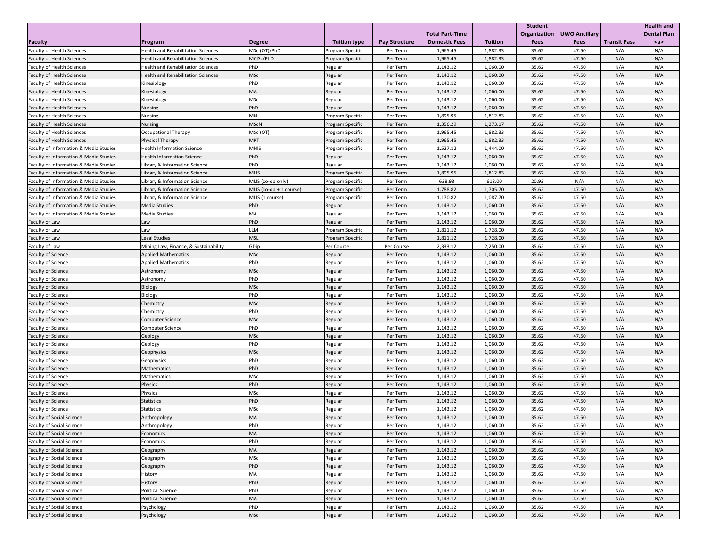|                                                   |                                           |                         |                                                    |                      |                        | <b>Student</b> |             |                              | <b>Health and</b>   |                    |
|---------------------------------------------------|-------------------------------------------|-------------------------|----------------------------------------------------|----------------------|------------------------|----------------|-------------|------------------------------|---------------------|--------------------|
|                                                   |                                           |                         |                                                    |                      | <b>Total Part-Time</b> |                |             | Organization   UWO Ancillary |                     | <b>Dental Plan</b> |
| <b>Faculty</b>                                    | Program                                   | Degree                  | <b>Tuition type</b>                                | <b>Pay Structure</b> | <b>Domestic Fees</b>   | <b>Tuition</b> | <b>Fees</b> | <b>Fees</b>                  | <b>Transit Pass</b> | $a$                |
| <b>Faculty of Health Sciences</b>                 | <b>Health and Rehabilitation Sciences</b> | MSc (OT)/PhD            |                                                    | Per Term             | 1,965.45               | 1,882.33       | 35.62       | 47.50                        | N/A                 | N/A                |
| <b>Faculty of Health Sciences</b>                 | <b>Health and Rehabilitation Sciences</b> | MCISc/PhD               | <b>Program Specific</b><br><b>Program Specific</b> | Per Term             | 1,965.45               | 1,882.33       | 35.62       | 47.50                        | N/A                 | N/A                |
| <b>Faculty of Health Sciences</b>                 | <b>Health and Rehabilitation Sciences</b> | PhD                     |                                                    | Per Term             | 1,143.12               | 1,060.00       | 35.62       | 47.50                        | N/A                 | N/A                |
| <b>Faculty of Health Sciences</b>                 | <b>Health and Rehabilitation Sciences</b> | <b>MSc</b>              | Regular<br>Regular                                 | Per Term             | 1,143.12               | 1,060.00       | 35.62       | 47.50                        | N/A                 | N/A                |
| <b>Faculty of Health Sciences</b>                 | Kinesiology                               | PhD                     | Regular                                            | Per Term             | 1,143.12               | 1,060.00       | 35.62       | 47.50                        | N/A                 | N/A                |
| <b>Faculty of Health Sciences</b>                 | Kinesiology                               | <b>MA</b>               | Regular                                            | Per Term             | 1,143.12               | 1,060.00       | 35.62       | 47.50                        | N/A                 | N/A                |
| <b>Faculty of Health Sciences</b>                 | Kinesiology                               | <b>MSc</b>              | Regular                                            | Per Term             | 1,143.12               | 1,060.00       | 35.62       | 47.50                        | N/A                 | N/A                |
| <b>Faculty of Health Sciences</b>                 | Nursing                                   | PhD                     | Regular                                            | Per Term             | 1,143.12               | 1,060.00       | 35.62       | 47.50                        | N/A                 | N/A                |
| <b>Faculty of Health Sciences</b>                 | Nursing                                   | <b>MN</b>               | <b>Program Specific</b>                            | Per Term             | 1,895.95               | 1,812.83       | 35.62       | 47.50                        | N/A                 | N/A                |
| <b>Faculty of Health Sciences</b>                 | Nursing                                   | <b>MSCN</b>             | <b>Program Specific</b>                            | Per Term             | 1,356.29               | 1,273.17       | 35.62       | 47.50                        | N/A                 | N/A                |
| <b>Faculty of Health Sciences</b>                 | <b>Occupational Therapy</b>               | MSc (OT)                | <b>Program Specific</b>                            | Per Term             | 1,965.45               | 1,882.33       | 35.62       | 47.50                        | N/A                 | N/A                |
| <b>Faculty of Health Sciences</b>                 | <b>Physical Therapy</b>                   | <b>MPT</b>              | <b>Program Specific</b>                            | Per Term             | 1,965.45               | 1,882.33       | 35.62       | 47.50                        | N/A                 | N/A                |
| <b>Faculty of Information &amp; Media Studies</b> | <b>Health Information Science</b>         | <b>MHIS</b>             | <b>Program Specific</b>                            | Per Term             | 1,527.12               | 1,444.00       | 35.62       | 47.50                        | N/A                 | N/A                |
| <b>Faculty of Information &amp; Media Studies</b> | <b>Health Information Science</b>         | PhD                     | Regular                                            | Per Term             | 1,143.12               | 1,060.00       | 35.62       | 47.50                        | N/A                 | N/A                |
| <b>Faculty of Information &amp; Media Studies</b> | Library & Information Science             | PhD                     | Regular                                            | Per Term             | 1,143.12               | 1,060.00       | 35.62       | 47.50                        | N/A                 | N/A                |
| <b>Faculty of Information &amp; Media Studies</b> | Library & Information Science             | MLIS                    | <b>Program Specific</b>                            | Per Term             | 1,895.95               | 1,812.83       | 35.62       | 47.50                        | N/A                 | N/A                |
| <b>Faculty of Information &amp; Media Studies</b> | Library & Information Science             | MLIS (co-op only)       | <b>Program Specific</b>                            | Per Term             | 638.93                 | 618.00         | 20.93       | N/A                          | N/A                 | N/A                |
| <b>Faculty of Information &amp; Media Studies</b> | Library & Information Science             | MLIS (co-op + 1 course) | <b>Program Specific</b>                            | Per Term             | 1,788.82               | 1,705.70       | 35.62       | 47.50                        | N/A                 | N/A                |
| <b>Faculty of Information &amp; Media Studies</b> | Library & Information Science             | MLIS (1 course)         | <b>Program Specific</b>                            | Per Term             | 1,170.82               | 1,087.70       | 35.62       | 47.50                        | N/A                 | N/A                |
| <b>Faculty of Information &amp; Media Studies</b> | <b>Media Studies</b>                      | PhD                     | Regular                                            | Per Term             | 1,143.12               | 1,060.00       | 35.62       | 47.50                        | N/A                 | N/A                |
| <b>Faculty of Information &amp; Media Studies</b> | <b>Media Studies</b>                      | <b>MA</b>               | Regular                                            | Per Term             | 1,143.12               | 1,060.00       | 35.62       | 47.50                        | N/A                 | N/A                |
| Faculty of Law                                    | Law                                       | PhD                     | Regular                                            | Per Term             | 1,143.12               | 1,060.00       | 35.62       | 47.50                        | N/A                 | N/A                |
| Faculty of Law                                    | Law                                       | LLM                     | <b>Program Specific</b>                            | Per Term             | 1,811.12               | 1,728.00       | 35.62       | 47.50                        | N/A                 | N/A                |
| Faculty of Law                                    | Legal Studies                             | MSL                     | Program Specific                                   | Per Term             | 1,811.12               | 1,728.00       | 35.62       | 47.50                        | N/A                 | N/A                |
| Faculty of Law                                    | Mining Law, Finance, & Sustainability     | GDip                    | Per Course                                         | Per Course           | 2,333.12               | 2,250.00       | 35.62       | 47.50                        | N/A                 | N/A                |
| <b>Faculty of Science</b>                         | <b>Applied Mathematics</b>                | MSc                     | Regular                                            | Per Term             | 1,143.12               | 1,060.00       | 35.62       | 47.50                        | N/A                 | N/A                |
| <b>Faculty of Science</b>                         | <b>Applied Mathematics</b>                | PhD                     | Regular                                            | Per Term             | 1,143.12               | 1,060.00       | 35.62       | 47.50                        | N/A                 | N/A                |
| <b>Faculty of Science</b>                         | Astronomy                                 | MSc                     | Regular                                            | Per Term             | 1,143.12               | 1,060.00       | 35.62       | 47.50                        | N/A                 | N/A                |
| <b>Faculty of Science</b>                         | Astronomy                                 | PhD                     | Regular                                            | Per Term             | 1,143.12               | 1,060.00       | 35.62       | 47.50                        | N/A                 | N/A                |
| <b>Faculty of Science</b>                         | Biology                                   | <b>MSc</b>              | Regular                                            | Per Term             | 1,143.12               | 1,060.00       | 35.62       | 47.50                        | N/A                 | N/A                |
| <b>Faculty of Science</b>                         | Biology                                   | PhD                     | Regular                                            | Per Term             | 1,143.12               | 1,060.00       | 35.62       | 47.50                        | N/A                 | N/A                |
| <b>Faculty of Science</b>                         | Chemistry                                 | <b>MSc</b>              | Regular                                            | Per Term             | 1,143.12               | 1,060.00       | 35.62       | 47.50                        | N/A                 | N/A                |
| <b>Faculty of Science</b>                         | Chemistry                                 | PhD                     | Regular                                            | Per Term             | 1,143.12               | 1,060.00       | 35.62       | 47.50                        | N/A                 | N/A                |
| <b>Faculty of Science</b>                         | <b>Computer Science</b>                   | <b>MSc</b>              | Regular                                            | Per Term             | 1,143.12               | 1,060.00       | 35.62       | 47.50                        | N/A                 | N/A                |
| <b>Faculty of Science</b>                         | <b>Computer Science</b>                   | PhD                     | Regular                                            | Per Term             | 1,143.12               | 1,060.00       | 35.62       | 47.50                        | N/A                 | N/A                |
| <b>Faculty of Science</b>                         | Geology                                   | MSc                     | Regular                                            | Per Term             | 1,143.12               | 1,060.00       | 35.62       | 47.50                        | N/A                 | N/A                |
| <b>Faculty of Science</b>                         | Geology                                   | PhD                     | Regular                                            | Per Term             | 1,143.12               | 1,060.00       | 35.62       | 47.50                        | N/A                 | N/A                |
| <b>Faculty of Science</b>                         | Geophysics                                | MSc                     | Regular                                            | Per Term             | 1,143.12               | 1,060.00       | 35.62       | 47.50                        | N/A                 | N/A                |
| <b>Faculty of Science</b>                         | Geophysics                                | PhD                     | Regular                                            | Per Term             | 1,143.12               | 1,060.00       | 35.62       | 47.50                        | N/A                 | N/A                |
| <b>Faculty of Science</b>                         | Mathematics                               | PhD                     | Regular                                            | Per Term             | 1,143.12               | 1,060.00       | 35.62       | 47.50                        | N/A                 | N/A                |
| <b>Faculty of Science</b>                         | Mathematics                               | <b>MSc</b>              | Regular                                            | Per Term             | 1,143.12               | 1,060.00       | 35.62       | 47.50                        | N/A                 | N/A                |
| <b>Faculty of Science</b>                         | Physics                                   | PhD                     | Regular                                            | Per Term             | 1,143.12               | 1,060.00       | 35.62       | 47.50                        | N/A                 | N/A                |
| <b>Faculty of Science</b>                         | Physics                                   | <b>MSc</b>              | Regular                                            | Per Term             | 1,143.12               | 1,060.00       | 35.62       | 47.50                        | N/A                 | N/A                |
| <b>Faculty of Science</b>                         | <b>Statistics</b>                         | PhD                     | Regular                                            | Per Term             | 1,143.12               | 1,060.00       | 35.62       | 47.50                        | N/A                 | N/A                |
| <b>Faculty of Science</b>                         | Statistics                                | <b>MSc</b>              | Regular                                            | Per Term             | 1,143.12               | 1,060.00       | 35.62       | 47.50                        | N/A                 | N/A                |
| <b>Faculty of Social Science</b>                  | Anthropology                              | MA                      | Regular                                            | Per Term             | 1,143.12               | 1,060.00       | 35.62       | 47.50                        | N/A                 | N/A                |
| <b>Faculty of Social Science</b>                  | Anthropology                              | PhD                     | Regular                                            | Per Term             | 1,143.12               | 1,060.00       | 35.62       | 47.50                        | N/A                 | N/A                |
| <b>Faculty of Social Science</b>                  | Economics                                 | MA                      | Regular                                            | Per Term             | 1,143.12               | 1,060.00       | 35.62       | 47.50                        | N/A                 | N/A                |
| <b>Faculty of Social Science</b>                  | <b>Economics</b>                          | PhD                     | Regular                                            | Per Term             | 1,143.12               | 1,060.00       | 35.62       | 47.50                        | N/A                 | N/A                |
| <b>Faculty of Social Science</b>                  | Geography                                 | MA                      | Regular                                            | Per Term             | 1,143.12               | 1,060.00       | 35.62       | 47.50                        | N/A                 | N/A                |
| <b>Faculty of Social Science</b>                  | Geography                                 | <b>MSc</b>              | Regular                                            | Per Term             | 1,143.12               | 1,060.00       | 35.62       | 47.50                        | N/A                 | N/A                |
| <b>Faculty of Social Science</b>                  | Geography                                 | PhD                     | Regular                                            | Per Term             | 1,143.12               | 1,060.00       | 35.62       | 47.50                        | N/A                 | N/A                |
| <b>Faculty of Social Science</b>                  | <b>History</b>                            | <b>MA</b>               | Regular                                            | Per Term             | 1,143.12               | 1,060.00       | 35.62       | 47.50                        | N/A                 | N/A                |
| <b>Faculty of Social Science</b>                  | History                                   | PhD                     | Regular                                            | Per Term             | 1,143.12               | 1,060.00       | 35.62       | 47.50                        | N/A                 | N/A                |
| <b>Faculty of Social Science</b>                  | <b>Political Science</b>                  | PhD                     | Regular                                            | Per Term             | 1,143.12               | 1,060.00       | 35.62       | 47.50                        | N/A                 | N/A                |
| <b>Faculty of Social Science</b>                  | <b>Political Science</b>                  | MA                      | Regular                                            | Per Term             | 1,143.12               | 1,060.00       | 35.62       | 47.50                        | N/A                 | N/A                |
| <b>Faculty of Social Science</b>                  | Psychology                                | PhD                     | Regular                                            | Per Term             | 1,143.12               | 1,060.00       | 35.62       | 47.50                        | N/A                 | N/A                |
| <b>Faculty of Social Science</b>                  | Psychology                                | MSc                     | Regular                                            | Per Term             | 1,143.12               | 1,060.00       | 35.62       | 47.50                        | N/A                 | N/A                |